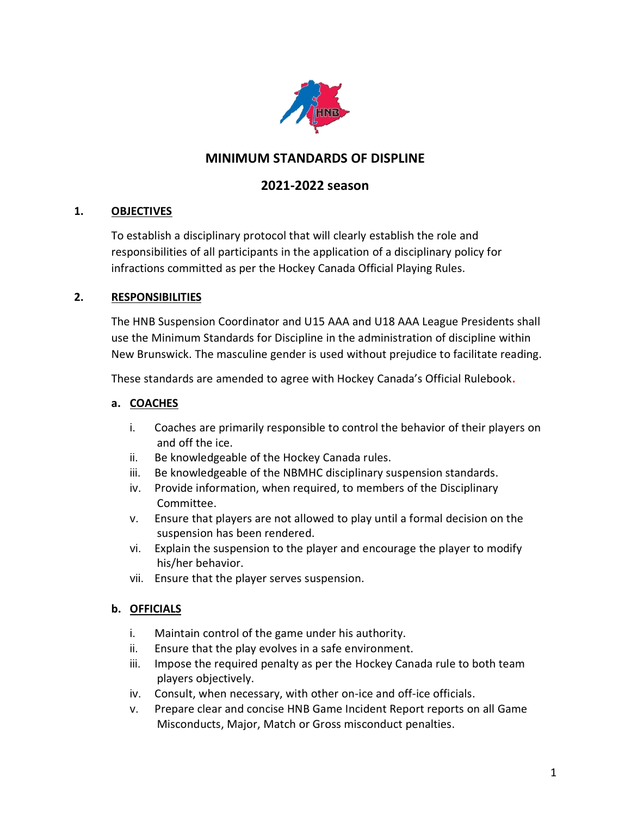

# **MINIMUM STANDARDS OF DISPLINE**

# **2021-2022 season**

### **1. OBJECTIVES**

To establish a disciplinary protocol that will clearly establish the role and responsibilities of all participants in the application of a disciplinary policy for infractions committed as per the Hockey Canada Official Playing Rules.

#### **2. RESPONSIBILITIES**

The HNB Suspension Coordinator and U15 AAA and U18 AAA League Presidents shall use the Minimum Standards for Discipline in the administration of discipline within New Brunswick. The masculine gender is used without prejudice to facilitate reading.

These standards are amended to agree with Hockey Canada's Official Rulebook**.**

#### **a. COACHES**

- i. Coaches are primarily responsible to control the behavior of their players on and off the ice.
- ii. Be knowledgeable of the Hockey Canada rules.
- iii. Be knowledgeable of the NBMHC disciplinary suspension standards.
- iv. Provide information, when required, to members of the Disciplinary Committee.
- v. Ensure that players are not allowed to play until a formal decision on the suspension has been rendered.
- vi. Explain the suspension to the player and encourage the player to modify his/her behavior.
- vii. Ensure that the player serves suspension.

### **b. OFFICIALS**

- i. Maintain control of the game under his authority.
- ii. Ensure that the play evolves in a safe environment.
- iii. Impose the required penalty as per the Hockey Canada rule to both team players objectively.
- iv. Consult, when necessary, with other on-ice and off-ice officials.
- v. Prepare clear and concise HNB Game Incident Report reports on all Game Misconducts, Major, Match or Gross misconduct penalties.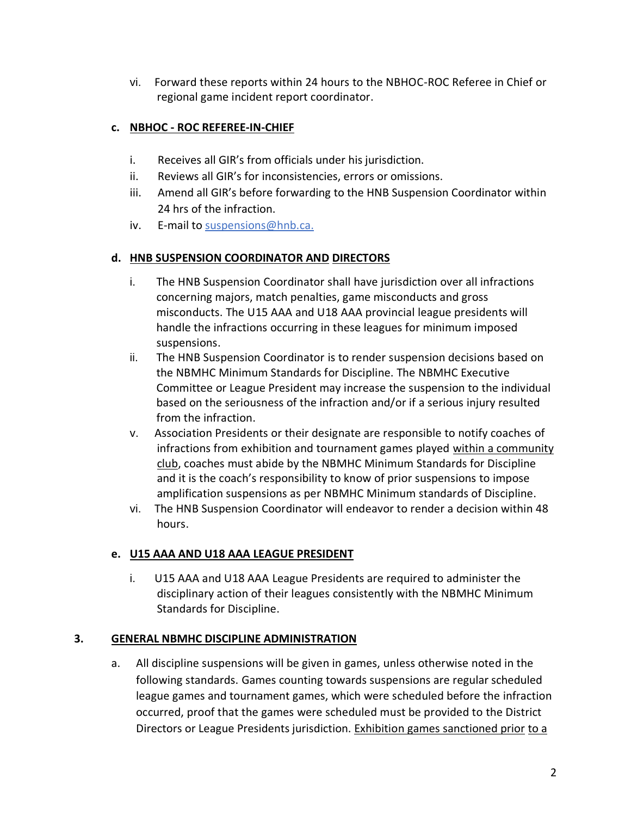vi. Forward these reports within 24 hours to the NBHOC-ROC Referee in Chief or regional game incident report coordinator.

## **c. NBHOC - ROC REFEREE-IN-CHIEF**

- i. Receives all GIR's from officials under his jurisdiction.
- ii. Reviews all GIR's for inconsistencies, errors or omissions.
- iii. Amend all GIR's before forwarding to the HNB Suspension Coordinator within 24 hrs of the infraction.
- iv. E-mail to [suspensions@hnb.ca.](mailto:suspensions@hnb.ca)

### **d. HNB SUSPENSION COORDINATOR AND DIRECTORS**

- i. The HNB Suspension Coordinator shall have jurisdiction over all infractions concerning majors, match penalties, game misconducts and gross misconducts. The U15 AAA and U18 AAA provincial league presidents will handle the infractions occurring in these leagues for minimum imposed suspensions.
- ii. The HNB Suspension Coordinator is to render suspension decisions based on the NBMHC Minimum Standards for Discipline. The NBMHC Executive Committee or League President may increase the suspension to the individual based on the seriousness of the infraction and/or if a serious injury resulted from the infraction.
- v. Association Presidents or their designate are responsible to notify coaches of infractions from exhibition and tournament games played within a community club, coaches must abide by the NBMHC Minimum Standards for Discipline and it is the coach's responsibility to know of prior suspensions to impose amplification suspensions as per NBMHC Minimum standards of Discipline.
- vi. The HNB Suspension Coordinator will endeavor to render a decision within 48 hours.

### **e. U15 AAA AND U18 AAA LEAGUE PRESIDENT**

i. U15 AAA and U18 AAA League Presidents are required to administer the disciplinary action of their leagues consistently with the NBMHC Minimum Standards for Discipline.

### **3. GENERAL NBMHC DISCIPLINE ADMINISTRATION**

a. All discipline suspensions will be given in games, unless otherwise noted in the following standards. Games counting towards suspensions are regular scheduled league games and tournament games, which were scheduled before the infraction occurred, proof that the games were scheduled must be provided to the District Directors or League Presidents jurisdiction. Exhibition games sanctioned prior to a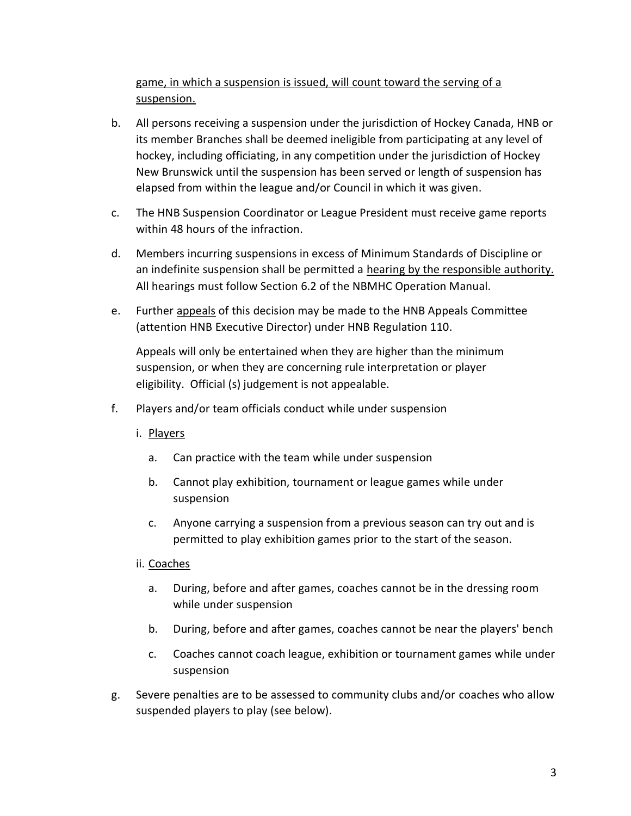game, in which a suspension is issued, will count toward the serving of a suspension.

- b. All persons receiving a suspension under the jurisdiction of Hockey Canada, HNB or its member Branches shall be deemed ineligible from participating at any level of hockey, including officiating, in any competition under the jurisdiction of Hockey New Brunswick until the suspension has been served or length of suspension has elapsed from within the league and/or Council in which it was given.
- c. The HNB Suspension Coordinator or League President must receive game reports within 48 hours of the infraction.
- d. Members incurring suspensions in excess of Minimum Standards of Discipline or an indefinite suspension shall be permitted a hearing by the responsible authority. All hearings must follow Section 6.2 of the NBMHC Operation Manual.
- e. Further appeals of this decision may be made to the HNB Appeals Committee (attention HNB Executive Director) under HNB Regulation 110.

Appeals will only be entertained when they are higher than the minimum suspension, or when they are concerning rule interpretation or player eligibility. Official (s) judgement is not appealable.

- f. Players and/or team officials conduct while under suspension
	- i. Players
		- a. Can practice with the team while under suspension
		- b. Cannot play exhibition, tournament or league games while under suspension
		- c. Anyone carrying a suspension from a previous season can try out and is permitted to play exhibition games prior to the start of the season.
	- ii. Coaches
		- a. During, before and after games, coaches cannot be in the dressing room while under suspension
		- b. During, before and after games, coaches cannot be near the players' bench
		- c. Coaches cannot coach league, exhibition or tournament games while under suspension
- g. Severe penalties are to be assessed to community clubs and/or coaches who allow suspended players to play (see below).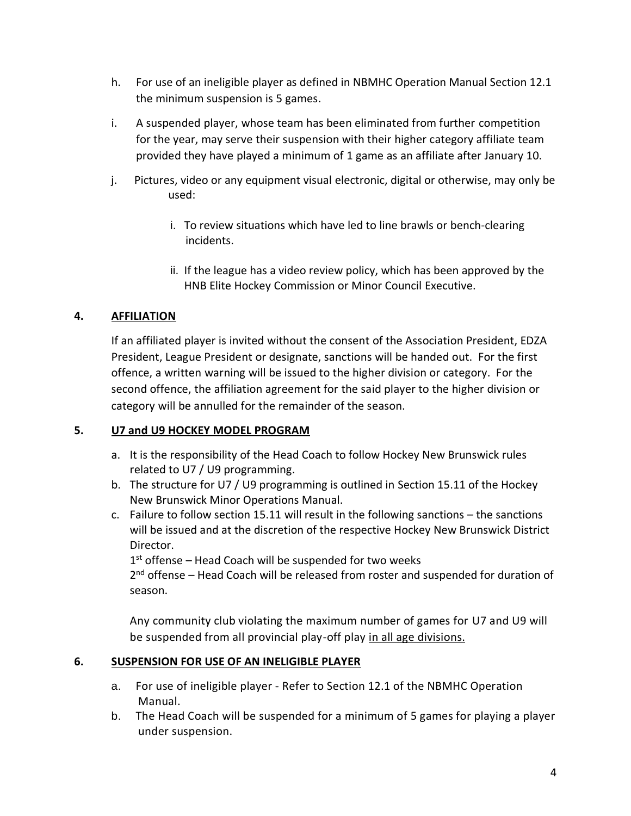- h. For use of an ineligible player as defined in NBMHC Operation Manual Section 12.1 the minimum suspension is 5 games.
- i. A suspended player, whose team has been eliminated from further competition for the year, may serve their suspension with their higher category affiliate team provided they have played a minimum of 1 game as an affiliate after January 10.
- j. Pictures, video or any equipment visual electronic, digital or otherwise, may only be used:
	- i. To review situations which have led to line brawls or bench-clearing incidents.
	- ii. If the league has a video review policy, which has been approved by the HNB Elite Hockey Commission or Minor Council Executive.

### **4. AFFILIATION**

If an affiliated player is invited without the consent of the Association President, EDZA President, League President or designate, sanctions will be handed out. For the first offence, a written warning will be issued to the higher division or category. For the second offence, the affiliation agreement for the said player to the higher division or category will be annulled for the remainder of the season.

### **5. U7 and U9 HOCKEY MODEL PROGRAM**

- a. It is the responsibility of the Head Coach to follow Hockey New Brunswick rules related to U7 / U9 programming.
- b. The structure for U7 / U9 programming is outlined in Section 15.11 of the Hockey New Brunswick Minor Operations Manual.
- c. Failure to follow section 15.11 will result in the following sanctions the sanctions will be issued and at the discretion of the respective Hockey New Brunswick District Director.

1<sup>st</sup> offense - Head Coach will be suspended for two weeks

2<sup>nd</sup> offense – Head Coach will be released from roster and suspended for duration of season.

Any community club violating the maximum number of games for U7 and U9 will be suspended from all provincial play-off play in all age divisions.

### **6. SUSPENSION FOR USE OF AN INELIGIBLE PLAYER**

- a. For use of ineligible player Refer to Section 12.1 of the NBMHC Operation Manual.
- b. The Head Coach will be suspended for a minimum of 5 games for playing a player under suspension.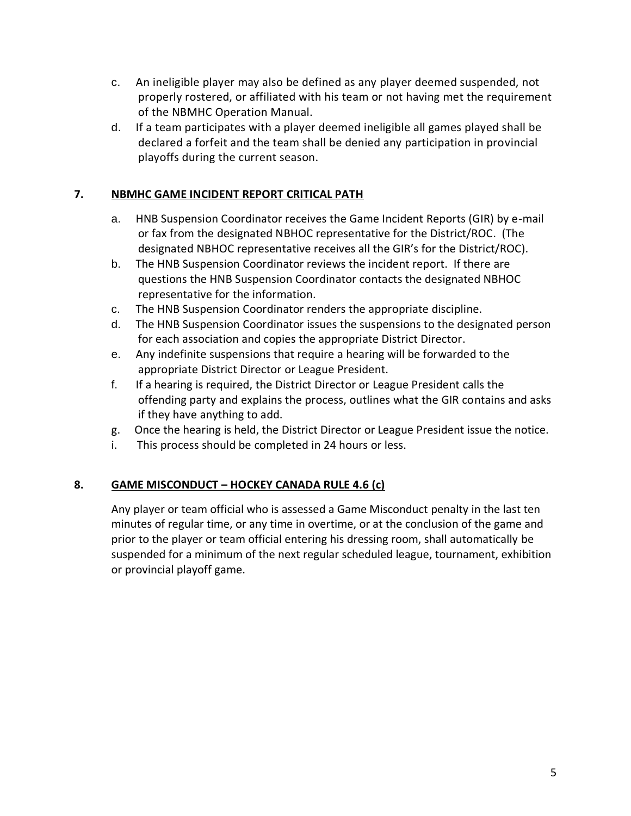- c. An ineligible player may also be defined as any player deemed suspended, not properly rostered, or affiliated with his team or not having met the requirement of the NBMHC Operation Manual.
- d. If a team participates with a player deemed ineligible all games played shall be declared a forfeit and the team shall be denied any participation in provincial playoffs during the current season.

### **7. NBMHC GAME INCIDENT REPORT CRITICAL PATH**

- a. HNB Suspension Coordinator receives the Game Incident Reports (GIR) by e-mail or fax from the designated NBHOC representative for the District/ROC. (The designated NBHOC representative receives all the GIR's for the District/ROC).
- b. The HNB Suspension Coordinator reviews the incident report. If there are questions the HNB Suspension Coordinator contacts the designated NBHOC representative for the information.
- c. The HNB Suspension Coordinator renders the appropriate discipline.
- d. The HNB Suspension Coordinator issues the suspensions to the designated person for each association and copies the appropriate District Director.
- e. Any indefinite suspensions that require a hearing will be forwarded to the appropriate District Director or League President.
- f. If a hearing is required, the District Director or League President calls the offending party and explains the process, outlines what the GIR contains and asks if they have anything to add.
- g. Once the hearing is held, the District Director or League President issue the notice.
- i. This process should be completed in 24 hours or less.

## **8. GAME MISCONDUCT – HOCKEY CANADA RULE 4.6 (c)**

Any player or team official who is assessed a Game Misconduct penalty in the last ten minutes of regular time, or any time in overtime, or at the conclusion of the game and prior to the player or team official entering his dressing room, shall automatically be suspended for a minimum of the next regular scheduled league, tournament, exhibition or provincial playoff game.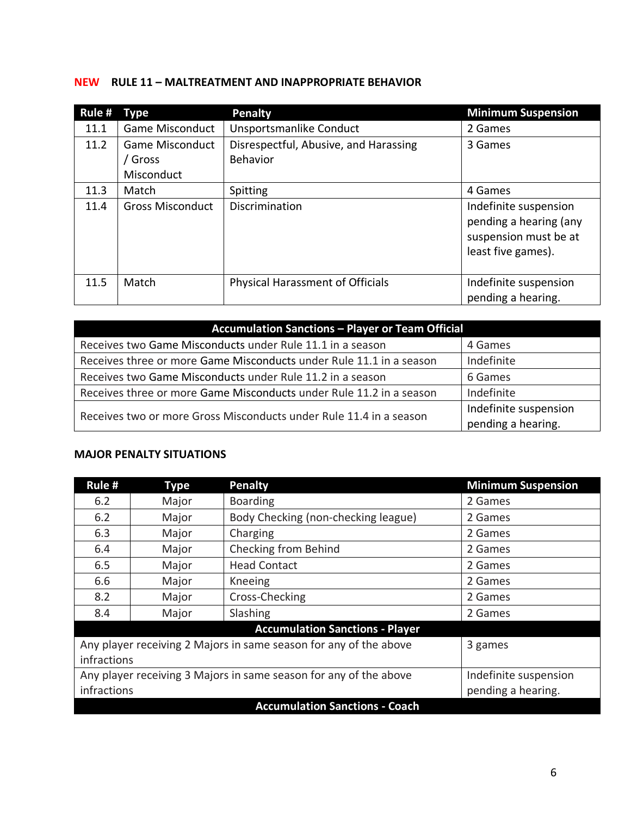## **NEW RULE 11 – MALTREATMENT AND INAPPROPRIATE BEHAVIOR**

| Rule $#$ | Type                                          | <b>Penalty</b>                                           | <b>Minimum Suspension</b>                                                                      |
|----------|-----------------------------------------------|----------------------------------------------------------|------------------------------------------------------------------------------------------------|
| 11.1     | <b>Game Misconduct</b>                        | Unsportsmanlike Conduct                                  | 2 Games                                                                                        |
| 11.2     | <b>Game Misconduct</b><br>Gross<br>Misconduct | Disrespectful, Abusive, and Harassing<br><b>Behavior</b> | 3 Games                                                                                        |
| 11.3     | Match                                         | Spitting                                                 | 4 Games                                                                                        |
| 11.4     | <b>Gross Misconduct</b>                       | Discrimination                                           | Indefinite suspension<br>pending a hearing (any<br>suspension must be at<br>least five games). |
| 11.5     | Match                                         | <b>Physical Harassment of Officials</b>                  | Indefinite suspension<br>pending a hearing.                                                    |

| <b>Accumulation Sanctions - Player or Team Official</b>             |                       |  |
|---------------------------------------------------------------------|-----------------------|--|
| Receives two Game Misconducts under Rule 11.1 in a season           | 4 Games               |  |
| Receives three or more Game Misconducts under Rule 11.1 in a season | Indefinite            |  |
| Receives two Game Misconducts under Rule 11.2 in a season           | 6 Games               |  |
| Receives three or more Game Misconducts under Rule 11.2 in a season | Indefinite            |  |
| Receives two or more Gross Misconducts under Rule 11.4 in a season  | Indefinite suspension |  |
|                                                                     | pending a hearing.    |  |

### **MAJOR PENALTY SITUATIONS**

| Rule #                                                            | <b>Type</b> | <b>Penalty</b>                         | <b>Minimum Suspension</b> |  |
|-------------------------------------------------------------------|-------------|----------------------------------------|---------------------------|--|
| 6.2                                                               | Major       | <b>Boarding</b>                        | 2 Games                   |  |
| 6.2                                                               | Major       | Body Checking (non-checking league)    | 2 Games                   |  |
| 6.3                                                               | Major       | Charging                               | 2 Games                   |  |
| 6.4                                                               | Major       | Checking from Behind                   | 2 Games                   |  |
| 6.5                                                               | Major       | <b>Head Contact</b>                    | 2 Games                   |  |
| 6.6                                                               | Major       | Kneeing                                | 2 Games                   |  |
| 8.2                                                               | Major       | Cross-Checking                         | 2 Games                   |  |
| 8.4                                                               | Major       | Slashing                               | 2 Games                   |  |
|                                                                   |             | <b>Accumulation Sanctions - Player</b> |                           |  |
| Any player receiving 2 Majors in same season for any of the above |             |                                        | 3 games                   |  |
| infractions                                                       |             |                                        |                           |  |
| Any player receiving 3 Majors in same season for any of the above |             | Indefinite suspension                  |                           |  |
| infractions                                                       |             |                                        | pending a hearing.        |  |
| <b>Accumulation Sanctions - Coach</b>                             |             |                                        |                           |  |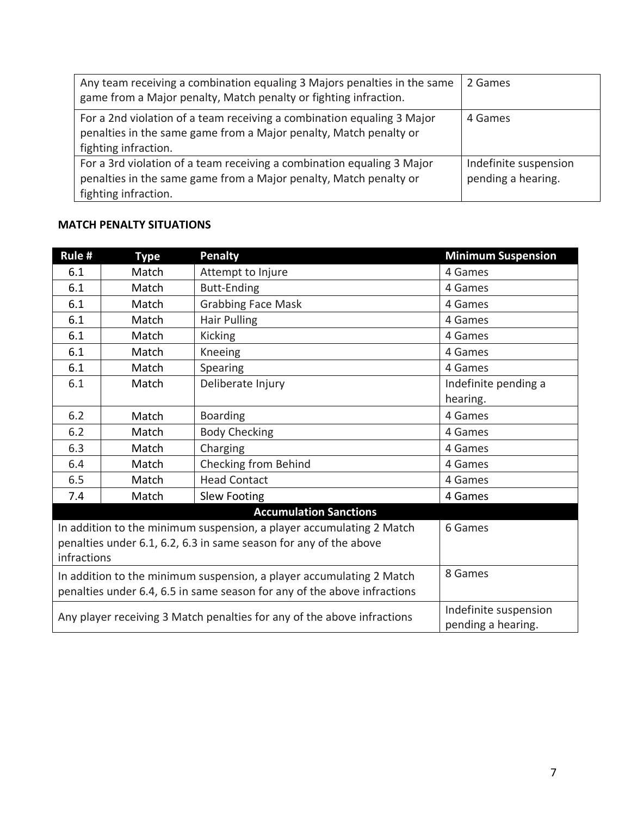| Any team receiving a combination equaling 3 Majors penalties in the same<br>game from a Major penalty, Match penalty or fighting infraction.                        | 2 Games                                     |
|---------------------------------------------------------------------------------------------------------------------------------------------------------------------|---------------------------------------------|
| For a 2nd violation of a team receiving a combination equaling 3 Major<br>penalties in the same game from a Major penalty, Match penalty or<br>fighting infraction. | 4 Games                                     |
| For a 3rd violation of a team receiving a combination equaling 3 Major<br>penalties in the same game from a Major penalty, Match penalty or<br>fighting infraction. | Indefinite suspension<br>pending a hearing. |

### **MATCH PENALTY SITUATIONS**

| Rule #                                                                   | <b>Type</b>                   | <b>Penalty</b>            | <b>Minimum Suspension</b>                   |  |
|--------------------------------------------------------------------------|-------------------------------|---------------------------|---------------------------------------------|--|
| 6.1                                                                      | Match                         | Attempt to Injure         | 4 Games                                     |  |
| 6.1                                                                      | Match                         | Butt-Ending               | 4 Games                                     |  |
| 6.1                                                                      | Match                         | <b>Grabbing Face Mask</b> | 4 Games                                     |  |
| 6.1                                                                      | Match                         | Hair Pulling              | 4 Games                                     |  |
| 6.1                                                                      | Match                         | <b>Kicking</b>            | 4 Games                                     |  |
| 6.1                                                                      | Match                         | Kneeing                   | 4 Games                                     |  |
| 6.1                                                                      | Match                         | Spearing                  | 4 Games                                     |  |
| 6.1                                                                      | Match                         | Deliberate Injury         | Indefinite pending a                        |  |
|                                                                          |                               |                           | hearing.                                    |  |
| 6.2                                                                      | Match                         | <b>Boarding</b>           | 4 Games                                     |  |
| 6.2                                                                      | Match                         | <b>Body Checking</b>      | 4 Games                                     |  |
| 6.3                                                                      | Match                         | Charging                  | 4 Games                                     |  |
| 6.4                                                                      | Match                         | Checking from Behind      | 4 Games                                     |  |
| 6.5                                                                      | Match                         | <b>Head Contact</b>       | 4 Games                                     |  |
| 7.4                                                                      | Match                         | <b>Slew Footing</b>       | 4 Games                                     |  |
|                                                                          | <b>Accumulation Sanctions</b> |                           |                                             |  |
| In addition to the minimum suspension, a player accumulating 2 Match     |                               |                           | 6 Games                                     |  |
| penalties under 6.1, 6.2, 6.3 in same season for any of the above        |                               |                           |                                             |  |
| infractions                                                              |                               |                           |                                             |  |
| In addition to the minimum suspension, a player accumulating 2 Match     |                               |                           | 8 Games                                     |  |
| penalties under 6.4, 6.5 in same season for any of the above infractions |                               |                           |                                             |  |
| Any player receiving 3 Match penalties for any of the above infractions  |                               |                           | Indefinite suspension<br>pending a hearing. |  |